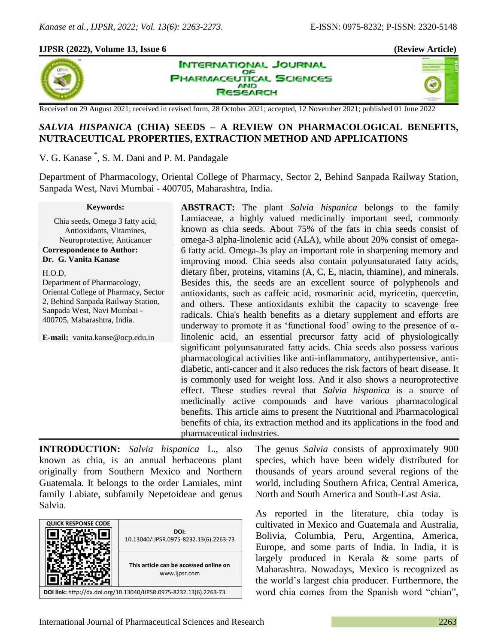×,

## **IJPSR (2022), Volume 13, Issue 6 (Review Article)**



**INTERNATIONAL JOURNAL** OF **PHARMACEUTICAL SCIENCES AND ISEARCH** 

Received on 29 August 2021; received in revised form, 28 October 2021; accepted, 12 November 2021; published 01 June 2022

# *SALVIA HISPANICA* **(CHIA) SEEDS – A REVIEW ON PHARMACOLOGICAL BENEFITS, NUTRACEUTICAL PROPERTIES, EXTRACTION METHOD AND APPLICATIONS**

V. G. Kanase \* , S. M. Dani and P. M. Pandagale

Department of Pharmacology, Oriental College of Pharmacy, Sector 2, Behind Sanpada Railway Station, Sanpada West, Navi Mumbai - 400705, Maharashtra, India.

**Keywords:**

Chia seeds, Omega 3 fatty acid, Antioxidants, Vitamines, Neuroprotective, Anticancer **Correspondence to Author:**

**Dr. G. Vanita Kanase**

H.O.D,

Department of Pharmacology, Oriental College of Pharmacy, Sector 2, Behind Sanpada Railway Station, Sanpada West, Navi Mumbai - 400705, Maharashtra, India.

**E-mail:** vanita.kanse@ocp.edu.in

**ABSTRACT:** The plant *Salvia hispanica* belongs to the family Lamiaceae, a highly valued medicinally important seed, commonly known as chia seeds. About 75% of the fats in chia seeds consist of omega-3 alpha-linolenic acid (ALA), while about 20% consist of omega-6 fatty acid. Omega-3s play an important role in sharpening memory and improving mood. Chia seeds also contain polyunsaturated fatty acids, dietary fiber, proteins, vitamins (A, C, E, niacin, thiamine), and minerals. Besides this, the seeds are an excellent source of polyphenols and antioxidants, such as caffeic acid, rosmarinic acid, myricetin, quercetin, and others. These antioxidants exhibit the capacity to scavenge free radicals. Chia's health benefits as a dietary supplement and efforts are underway to promote it as 'functional food' owing to the presence of  $\alpha$ linolenic acid, an essential precursor fatty acid of physiologically significant polyunsaturated fatty acids. Chia seeds also possess various pharmacological activities like anti-inflammatory, antihypertensive, antidiabetic, anti-cancer and it also reduces the risk factors of heart disease. It is commonly used for weight loss. And it also shows a neuroprotective effect. These studies reveal that *Salvia hispanica* is a source of medicinally active compounds and have various pharmacological benefits. This article aims to present the Nutritional and Pharmacological benefits of chia, its extraction method and its applications in the food and pharmaceutical industries.

**INTRODUCTION:** *Salvia hispanica* L., also known as chia, is an annual herbaceous plant originally from Southern Mexico and Northern Guatemala. It belongs to the order Lamiales, mint family Labiate, subfamily Nepetoideae and genus Salvia.



The genus *Salvia* consists of approximately 900 species, which have been widely distributed for thousands of years around several regions of the world, including Southern Africa, Central America, North and South America and South-East Asia.

As reported in the literature, chia today is cultivated in Mexico and Guatemala and Australia, Bolivia, Columbia, Peru, Argentina, America, Europe, and some parts of India. In India, it is largely produced in Kerala & some parts of Maharashtra. Nowadays, Mexico is recognized as the world"s largest chia producer. Furthermore, the word chia comes from the Spanish word "chian",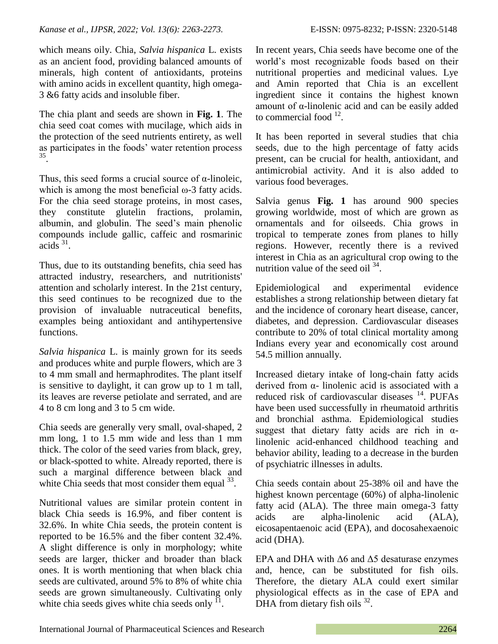which means oily. Chia, *Salvia hispanica* L. exists as an ancient food, providing balanced amounts of minerals, high content of antioxidants, proteins with amino acids in excellent quantity, high omega-3 &6 fatty acids and insoluble fiber.

The chia plant and seeds are shown in **Fig. 1**. The chia seed coat comes with mucilage, which aids in the protection of the seed nutrients entirety, as well as participates in the foods' water retention process 35 .

Thus, this seed forms a crucial source of  $\alpha$ -linoleic, which is among the most beneficial  $\omega$ -3 fatty acids. For the chia seed storage proteins, in most cases, they constitute glutelin fractions, prolamin, albumin, and globulin. The seed's main phenolic compounds include gallic, caffeic and rosmarinic acids  $31$ .

Thus, due to its outstanding benefits, chia seed has attracted industry, researchers, and nutritionists' attention and scholarly interest. In the 21st century, this seed continues to be recognized due to the provision of invaluable nutraceutical benefits, examples being antioxidant and antihypertensive functions.

*Salvia hispanica* L. is mainly grown for its seeds and produces white and purple flowers, which are 3 to 4 mm small and hermaphrodites. The plant itself is sensitive to daylight, it can grow up to 1 m tall, its leaves are reverse petiolate and serrated, and are 4 to 8 cm long and 3 to 5 cm wide.

Chia seeds are generally very small, oval-shaped, 2 mm long, 1 to 1.5 mm wide and less than 1 mm thick. The color of the seed varies from black, grey, or black-spotted to white. Already reported, there is such a marginal difference between black and white Chia seeds that most consider them equal  $33$ .

Nutritional values are similar protein content in black Chia seeds is 16.9%, and fiber content is 32.6%. In white Chia seeds, the protein content is reported to be 16.5% and the fiber content 32.4%. A slight difference is only in morphology; white seeds are larger, thicker and broader than black ones. It is worth mentioning that when black chia seeds are cultivated, around 5% to 8% of white chia seeds are grown simultaneously. Cultivating only white chia seeds gives white chia seeds only  $\overline{1}$ .

In recent years, Chia seeds have become one of the world"s most recognizable foods based on their nutritional properties and medicinal values. Lye and Amin reported that Chia is an excellent ingredient since it contains the highest known amount of α-linolenic acid and can be easily added to commercial food  $12$ .

It has been reported in several studies that chia seeds, due to the high percentage of fatty acids present, can be crucial for health, antioxidant, and antimicrobial activity. And it is also added to various food beverages.

Salvia genus **Fig. 1** has around 900 species growing worldwide, most of which are grown as ornamentals and for oilseeds. Chia grows in tropical to temperate zones from planes to hilly regions. However, recently there is a revived interest in Chia as an agricultural crop owing to the nutrition value of the seed oil  $34$ .

Epidemiological and experimental evidence establishes a strong relationship between dietary fat and the incidence of coronary heart disease, cancer, diabetes, and depression. Cardiovascular diseases contribute to 20% of total clinical mortality among Indians every year and economically cost around 54.5 million annually.

Increased dietary intake of long-chain fatty acids derived from α- linolenic acid is associated with a reduced risk of cardiovascular diseases  $14$ . PUFAs have been used successfully in rheumatoid arthritis and bronchial asthma. Epidemiological studies suggest that dietary fatty acids are rich in  $\alpha$ linolenic acid-enhanced childhood teaching and behavior ability, leading to a decrease in the burden of psychiatric illnesses in adults.

Chia seeds contain about 25-38% oil and have the highest known percentage (60%) of alpha-linolenic fatty acid (ALA). The three main omega-3 fatty acids are alpha-linolenic acid (ALA), eicosapentaenoic acid (EPA), and docosahexaenoic acid (DHA).

EPA and DHA with  $\Delta 6$  and  $\Delta 5$  desaturase enzymes and, hence, can be substituted for fish oils. Therefore, the dietary ALA could exert similar physiological effects as in the case of EPA and DHA from dietary fish oils  $32$ .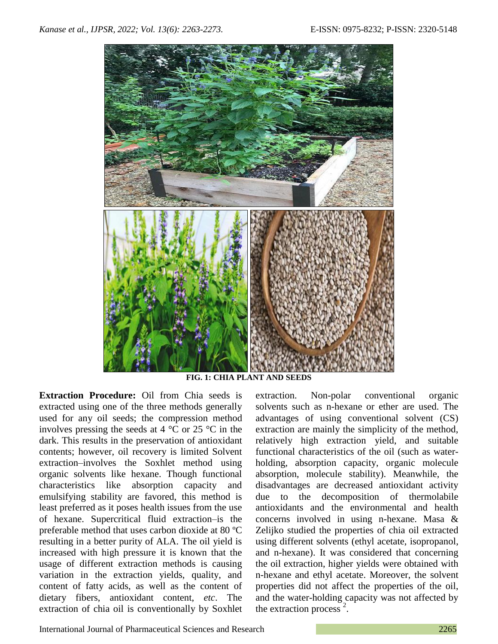

**FIG. 1: CHIA PLANT AND SEEDS**

**Extraction Procedure:** Oil from Chia seeds is extracted using one of the three methods generally used for any oil seeds; the compression method involves pressing the seeds at 4 °C or 25 °C in the dark. This results in the preservation of antioxidant contents; however, oil recovery is limited Solvent extraction–involves the Soxhlet method using organic solvents like hexane. Though functional characteristics like absorption capacity and emulsifying stability are favored, this method is least preferred as it poses health issues from the use of hexane. Supercritical fluid extraction–is the preferable method that uses carbon dioxide at 80 ºC resulting in a better purity of ALA. The oil yield is increased with high pressure it is known that the usage of different extraction methods is causing variation in the extraction yields, quality, and content of fatty acids, as well as the content of dietary fibers, antioxidant content, *etc*. The extraction of chia oil is conventionally by Soxhlet extraction. Non-polar conventional organic solvents such as n-hexane or ether are used. The advantages of using conventional solvent (CS) extraction are mainly the simplicity of the method, relatively high extraction yield, and suitable functional characteristics of the oil (such as waterholding, absorption capacity, organic molecule absorption, molecule stability). Meanwhile, the disadvantages are decreased antioxidant activity due to the decomposition of thermolabile antioxidants and the environmental and health concerns involved in using n-hexane. Masa & Zelijko studied the properties of chia oil extracted using different solvents (ethyl acetate, isopropanol, and n-hexane). It was considered that concerning the oil extraction, higher yields were obtained with n-hexane and ethyl acetate. Moreover, the solvent properties did not affect the properties of the oil, and the water-holding capacity was not affected by the extraction process<sup>2</sup>.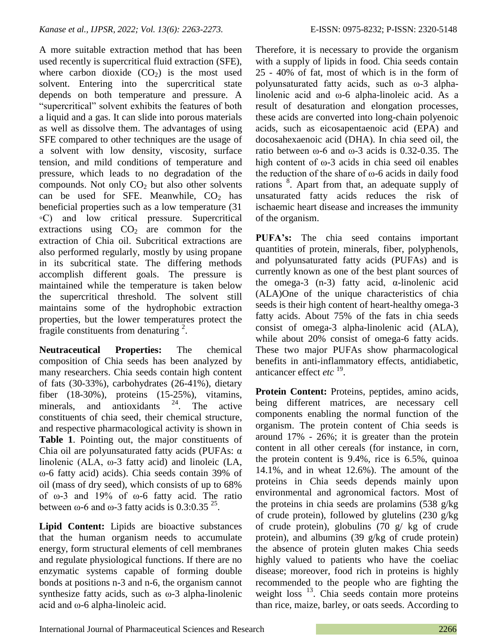A more suitable extraction method that has been used recently is supercritical fluid extraction (SFE), where carbon dioxide  $(CO<sub>2</sub>)$  is the most used solvent. Entering into the supercritical state depends on both temperature and pressure. A "supercritical" solvent exhibits the features of both a liquid and a gas. It can slide into porous materials as well as dissolve them. The advantages of using SFE compared to other techniques are the usage of a solvent with low density, viscosity, surface tension, and mild conditions of temperature and pressure, which leads to no degradation of the compounds. Not only  $CO<sub>2</sub>$  but also other solvents can be used for SFE. Meanwhile,  $CO<sub>2</sub>$  has beneficial properties such as a low temperature (31 ◦C) and low critical pressure. Supercritical extractions using  $CO<sub>2</sub>$  are common for the extraction of Chia oil. Subcritical extractions are also performed regularly, mostly by using propane in its subcritical state. The differing methods accomplish different goals. The pressure is maintained while the temperature is taken below the supercritical threshold. The solvent still maintains some of the hydrophobic extraction properties, but the lower temperatures protect the fragile constituents from denaturing  $2$ .

**Neutraceutical Properties:** The chemical composition of Chia seeds has been analyzed by many researchers. Chia seeds contain high content of fats (30-33%), carbohydrates (26-41%), dietary fiber (18-30%), proteins (15-25%), vitamins, minerals, and antioxidants  $24$ . The active constituents of chia seed, their chemical structure, and respective pharmacological activity is shown in **Table 1**. Pointing out, the major constituents of Chia oil are polyunsaturated fatty acids (PUFAs: α linolenic (ALA, ω-3 fatty acid) and linoleic (LA, ω-6 fatty acid) acids). Chia seeds contain 39% of oil (mass of dry seed), which consists of up to 68% of ω-3 and 19% of ω-6 fatty acid. The ratio between  $\omega$ -6 and  $\omega$ -3 fatty acids is 0.3:0.35<sup>25</sup>.

**Lipid Content:** Lipids are bioactive substances that the human organism needs to accumulate energy, form structural elements of cell membranes and regulate physiological functions. If there are no enzymatic systems capable of forming double bonds at positions n-3 and n-6, the organism cannot synthesize fatty acids, such as  $\omega$ -3 alpha-linolenic acid and ω-6 alpha-linoleic acid.

Therefore, it is necessary to provide the organism with a supply of lipids in food. Chia seeds contain 25 - 40% of fat, most of which is in the form of polyunsaturated fatty acids, such as ω-3 alphalinolenic acid and ω-6 alpha-linoleic acid. As a result of desaturation and elongation processes, these acids are converted into long-chain polyenoic acids, such as eicosapentaenoic acid (EPA) and docosahexaenoic acid (DHA). In chia seed oil, the ratio between ω-6 and ω-3 acids is 0.32-0.35. The high content of ω-3 acids in chia seed oil enables the reduction of the share of  $\omega$ -6 acids in daily food rations <sup>8</sup>. Apart from that, an adequate supply of unsaturated fatty acids reduces the risk of ischaemic heart disease and increases the immunity of the organism.

**PUFA's:** The chia seed contains important quantities of protein, minerals, fiber, polyphenols, and polyunsaturated fatty acids (PUFAs) and is currently known as one of the best plant sources of the omega-3 (n-3) fatty acid, α-linolenic acid (ALA)One of the unique characteristics of chia seeds is their high content of heart-healthy omega-3 fatty acids. About 75% of the fats in chia seeds consist of omega-3 alpha-linolenic acid (ALA), while about 20% consist of omega-6 fatty acids. These two major PUFAs show pharmacological benefits in anti-inflammatory effects, antidiabetic, anticancer effect *etc*<sup>19</sup>.

**Protein Content:** Proteins, peptides, amino acids, being different matrices, are necessary cell components enabling the normal function of the organism. The protein content of Chia seeds is around 17% - 26%; it is greater than the protein content in all other cereals (for instance, in corn, the protein content is 9.4%, rice is 6.5%, quinoa 14.1%, and in wheat 12.6%). The amount of the proteins in Chia seeds depends mainly upon environmental and agronomical factors. Most of the proteins in chia seeds are prolamins (538 g/kg of crude protein), followed by glutelins (230 g/kg of crude protein), globulins (70 g/ kg of crude protein), and albumins (39 g/kg of crude protein) the absence of protein gluten makes Chia seeds highly valued to patients who have the coeliac disease; moreover, food rich in proteins is highly recommended to the people who are fighting the weight loss <sup>13</sup>. Chia seeds contain more proteins than rice, maize, barley, or oats seeds. According to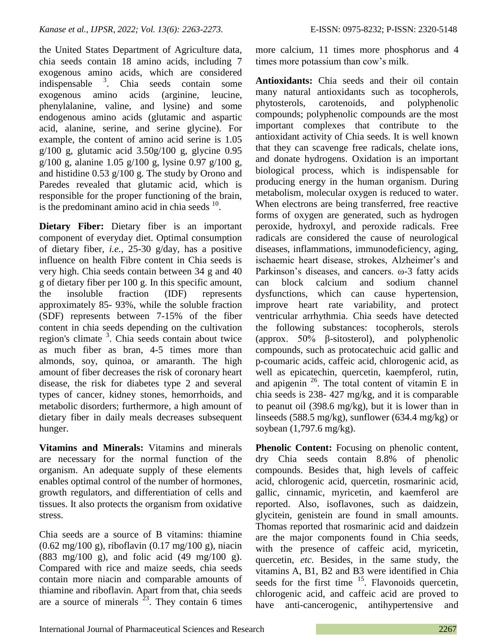the United States Department of Agriculture data, chia seeds contain 18 amino acids, including 7 exogenous amino acids, which are considered indispensable <sup>3</sup> . Chia seeds contain some exogenous amino acids (arginine, leucine, phenylalanine, valine, and lysine) and some endogenous amino acids (glutamic and aspartic acid, alanine, serine, and serine glycine). For example, the content of amino acid serine is 1.05 g/100 g, glutamic acid 3.50g/100 g, glycine 0.95 g/100 g, alanine 1.05 g/100 g, lysine 0.97 g/100 g, and histidine 0.53 g/100 g. The study by Orono and Paredes revealed that glutamic acid, which is responsible for the proper functioning of the brain, is the predominant amino acid in chia seeds  $10$ .

**Dietary Fiber:** Dietary fiber is an important component of everyday diet. Optimal consumption of dietary fiber, *i.e.,* 25-30 g/day, has a positive influence on health Fibre content in Chia seeds is very high. Chia seeds contain between 34 g and 40 g of dietary fiber per 100 g. In this specific amount, the insoluble fraction (IDF) represents approximately 85- 93%, while the soluble fraction (SDF) represents between 7-15% of the fiber content in chia seeds depending on the cultivation region's climate<sup>3</sup>. Chia seeds contain about twice as much fiber as bran, 4-5 times more than almonds, soy, quinoa, or amaranth. The high amount of fiber decreases the risk of coronary heart disease, the risk for diabetes type 2 and several types of cancer, kidney stones, hemorrhoids, and metabolic disorders; furthermore, a high amount of dietary fiber in daily meals decreases subsequent hunger.

**Vitamins and Minerals:** Vitamins and minerals are necessary for the normal function of the organism. An adequate supply of these elements enables optimal control of the number of hormones, growth regulators, and differentiation of cells and tissues. It also protects the organism from oxidative stress.

Chia seeds are a source of B vitamins: thiamine (0.62 mg/100 g), riboflavin (0.17 mg/100 g), niacin (883 mg/100 g), and folic acid (49 mg/100 g). Compared with rice and maize seeds, chia seeds contain more niacin and comparable amounts of thiamine and riboflavin. Apart from that, chia seeds are a source of minerals  $2^3$ . They contain 6 times more calcium, 11 times more phosphorus and 4 times more potassium than cow's milk.

**Antioxidants:** Chia seeds and their oil contain many natural antioxidants such as tocopherols, phytosterols, carotenoids, and polyphenolic compounds; polyphenolic compounds are the most important complexes that contribute to the antioxidant activity of Chia seeds. It is well known that they can scavenge free radicals, chelate ions, and donate hydrogens. Oxidation is an important biological process, which is indispensable for producing energy in the human organism. During metabolism, molecular oxygen is reduced to water. When electrons are being transferred, free reactive forms of oxygen are generated, such as hydrogen peroxide, hydroxyl, and peroxide radicals. Free radicals are considered the cause of neurological diseases, inflammations, immunodeficiency, aging, ischaemic heart disease, strokes, Alzheimer's and Parkinson"s diseases, and cancers. ω-3 fatty acids can block calcium and sodium channel dysfunctions, which can cause hypertension, improve heart rate variability, and protect ventricular arrhythmia. Chia seeds have detected the following substances: tocopherols, sterols (approx. 50% β-sitosterol), and polyphenolic compounds, such as protocatechuic acid gallic and p-coumaric acids, caffeic acid, chlorogenic acid, as well as epicatechin, quercetin, kaempferol, rutin, and apigenin  $^{26}$ . The total content of vitamin E in chia seeds is 238- 427 mg/kg, and it is comparable to peanut oil (398.6 mg/kg), but it is lower than in linseeds (588.5 mg/kg), sunflower (634.4 mg/kg) or soybean (1,797.6 mg/kg).

**Phenolic Content:** Focusing on phenolic content, dry Chia seeds contain 8.8% of phenolic compounds. Besides that, high levels of caffeic acid, chlorogenic acid, quercetin, rosmarinic acid, gallic, cinnamic, myricetin, and kaemferol are reported. Also, isoflavones, such as daidzein, glycitein, genistein are found in small amounts. Thomas reported that rosmarinic acid and daidzein are the major components found in Chia seeds, with the presence of caffeic acid, myricetin, quercetin, *etc.* Besides, in the same study, the vitamins A, B1, B2 and B3 were identified in Chia seeds for the first time  $15$ . Flavonoids quercetin, chlorogenic acid, and caffeic acid are proved to have anti-cancerogenic, antihypertensive and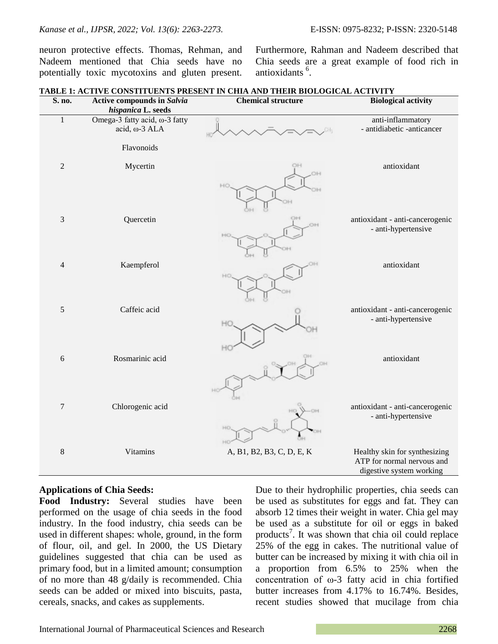neuron protective effects. Thomas, Rehman, and Nadeem mentioned that Chia seeds have no potentially toxic mycotoxins and gluten present.

Furthermore, Rahman and Nadeem described that Chia seeds are a great example of food rich in antioxidants <sup>6</sup>.

| S. no.           | Active compounds in Salvia<br>hispanica L. seeds | <b>Chemical structure</b> | <b>Biological activity</b>                                                              |
|------------------|--------------------------------------------------|---------------------------|-----------------------------------------------------------------------------------------|
| $\mathbf{1}$     | Omega-3 fatty acid, ω-3 fatty<br>acid, ω-3 ALA   |                           | anti-inflammatory<br>- antidiabetic -anticancer                                         |
|                  | Flavonoids                                       |                           |                                                                                         |
| $\sqrt{2}$       | Mycertin                                         | OH<br>OH                  | antioxidant                                                                             |
| $\mathfrak{Z}$   | Quercetin                                        |                           | antioxidant - anti-cancerogenic<br>- anti-hypertensive                                  |
| $\overline{4}$   | Kaempferol                                       |                           | antioxidant                                                                             |
| $\sqrt{5}$       | Caffeic acid                                     | H                         | antioxidant - anti-cancerogenic<br>- anti-hypertensive                                  |
| $\sqrt{6}$       | Rosmarinic acid                                  |                           | antioxidant                                                                             |
| $\boldsymbol{7}$ | Chlorogenic acid                                 |                           | antioxidant - anti-cancerogenic<br>- anti-hypertensive                                  |
| $\,8\,$          | Vitamins                                         | A, B1, B2, B3, C, D, E, K | Healthy skin for synthesizing<br>ATP for normal nervous and<br>digestive system working |

#### **TABLE 1: ACTIVE CONSTITUENTS PRESENT IN CHIA AND THEIR BIOLOGICAL ACTIVITY**

### **Applications of Chia Seeds:**

**Food Industry:** Several studies have been performed on the usage of chia seeds in the food industry. In the food industry, chia seeds can be used in different shapes: whole, ground, in the form of flour, oil, and gel. In 2000, the US Dietary guidelines suggested that chia can be used as primary food, but in a limited amount; consumption of no more than 48 g/daily is recommended. Chia seeds can be added or mixed into biscuits, pasta, cereals, snacks, and cakes as supplements.

Due to their hydrophilic properties, chia seeds can be used as substitutes for eggs and fat. They can absorb 12 times their weight in water. Chia gel may be used as a substitute for oil or eggs in baked products<sup>7</sup>. It was shown that chia oil could replace 25% of the egg in cakes. The nutritional value of butter can be increased by mixing it with chia oil in a proportion from 6.5% to 25% when the concentration of ω-3 fatty acid in chia fortified butter increases from 4.17% to 16.74%. Besides, recent studies showed that mucilage from chia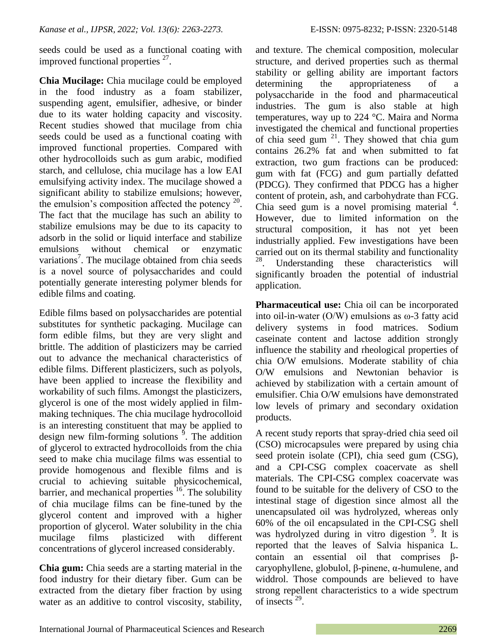seeds could be used as a functional coating with improved functional properties  $27$ .

**Chia Mucilage:** Chia mucilage could be employed in the food industry as a foam stabilizer, suspending agent, emulsifier, adhesive, or binder due to its water holding capacity and viscosity. Recent studies showed that mucilage from chia seeds could be used as a functional coating with improved functional properties. Compared with other hydrocolloids such as gum arabic, modified starch, and cellulose, chia mucilage has a low EAI emulsifying activity index. The mucilage showed a significant ability to stabilize emulsions; however, the emulsion's composition affected the potency  $20$ . The fact that the mucilage has such an ability to stabilize emulsions may be due to its capacity to adsorb in the solid or liquid interface and stabilize emulsions without chemical or enzymatic variations<sup>7</sup>. The mucilage obtained from chia seeds is a novel source of polysaccharides and could potentially generate interesting polymer blends for edible films and coating.

Edible films based on polysaccharides are potential substitutes for synthetic packaging. Mucilage can form edible films, but they are very slight and brittle. The addition of plasticizers may be carried out to advance the mechanical characteristics of edible films. Different plasticizers, such as polyols, have been applied to increase the flexibility and workability of such films. Amongst the plasticizers, glycerol is one of the most widely applied in filmmaking techniques. The chia mucilage hydrocolloid is an interesting constituent that may be applied to design new film-forming solutions  $\frac{9}{2}$ . The addition of glycerol to extracted hydrocolloids from the chia seed to make chia mucilage films was essential to provide homogenous and flexible films and is crucial to achieving suitable physicochemical, barrier, and mechanical properties  $16$ . The solubility of chia mucilage films can be fine-tuned by the glycerol content and improved with a higher proportion of glycerol. Water solubility in the chia mucilage films plasticized with different concentrations of glycerol increased considerably.

**Chia gum:** Chia seeds are a starting material in the food industry for their dietary fiber. Gum can be extracted from the dietary fiber fraction by using water as an additive to control viscosity, stability,

and texture. The chemical composition, molecular structure, and derived properties such as thermal stability or gelling ability are important factors determining the appropriateness of a polysaccharide in the food and pharmaceutical industries. The gum is also stable at high temperatures, way up to 224 °C. Maira and Norma investigated the chemical and functional properties of chia seed gum  $^{21}$ . They showed that chia gum contains 26.2% fat and when submitted to fat extraction, two gum fractions can be produced: gum with fat (FCG) and gum partially defatted (PDCG). They confirmed that PDCG has a higher content of protein, ash, and carbohydrate than FCG. Chia seed gum is a novel promising material  $4$ . However, due to limited information on the structural composition, it has not yet been industrially applied. Few investigations have been carried out on its thermal stability and functionality<br><sup>28</sup> Independing these characteristics will Understanding these characteristics will significantly broaden the potential of industrial application.

**Pharmaceutical use:** Chia oil can be incorporated into oil-in-water  $(O/W)$  emulsions as  $\omega$ -3 fatty acid delivery systems in food matrices. Sodium caseinate content and lactose addition strongly influence the stability and rheological properties of chia O/W emulsions. Moderate stability of chia O/W emulsions and Newtonian behavior is achieved by stabilization with a certain amount of emulsifier. Chia O/W emulsions have demonstrated low levels of primary and secondary oxidation products.

A recent study reports that spray-dried chia seed oil (CSO) microcapsules were prepared by using chia seed protein isolate (CPI), chia seed gum (CSG), and a CPI-CSG complex coacervate as shell materials. The CPI-CSG complex coacervate was found to be suitable for the delivery of CSO to the intestinal stage of digestion since almost all the unencapsulated oil was hydrolyzed, whereas only 60% of the oil encapsulated in the CPI-CSG shell was hydrolyzed during in vitro digestion <sup>9</sup>. It is reported that the leaves of Salvia hispanica L. contain an essential oil that comprises βcaryophyllene, globulol, β-pinene, α-humulene, and widdrol. Those compounds are believed to have strong repellent characteristics to a wide spectrum of insects<sup>29</sup>.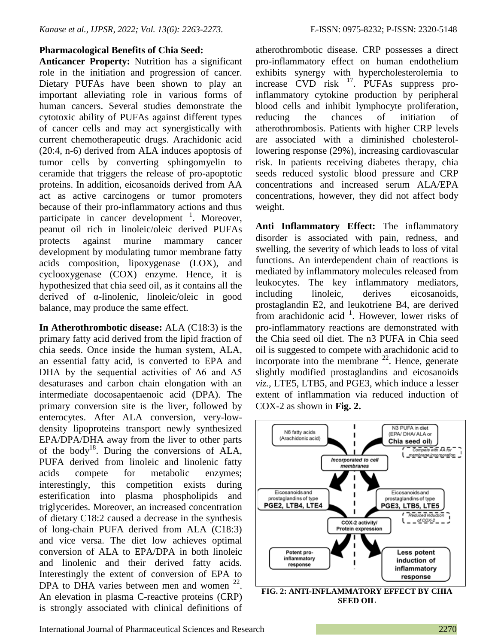**Anticancer Property:** Nutrition has a significant role in the initiation and progression of cancer. Dietary PUFAs have been shown to play an important alleviating role in various forms of human cancers. Several studies demonstrate the cytotoxic ability of PUFAs against different types of cancer cells and may act synergistically with current chemotherapeutic drugs. Arachidonic acid (20:4, n-6) derived from ALA induces apoptosis of tumor cells by converting sphingomyelin to ceramide that triggers the release of pro-apoptotic proteins. In addition, eicosanoids derived from AA act as active carcinogens or tumor promoters because of their pro-inflammatory actions and thus participate in cancer development  $\frac{1}{1}$ . Moreover, peanut oil rich in linoleic/oleic derived PUFAs protects against murine mammary cancer development by modulating tumor membrane fatty acids composition, lipoxygenase (LOX), and cyclooxygenase (COX) enzyme. Hence, it is hypothesized that chia seed oil, as it contains all the derived of α-linolenic, linoleic/oleic in good balance, may produce the same effect.

**In Atherothrombotic disease:** ALA (C18:3) is the primary fatty acid derived from the lipid fraction of chia seeds. Once inside the human system, ALA, an essential fatty acid, is converted to EPA and DHA by the sequential activities of  $\Delta 6$  and  $\Delta 5$ desaturases and carbon chain elongation with an intermediate docosapentaenoic acid (DPA). The primary conversion site is the liver, followed by enterocytes. After ALA conversion, very-lowdensity lipoproteins transport newly synthesized EPA/DPA/DHA away from the liver to other parts of the body<sup>18</sup>. During the conversions of ALA, PUFA derived from linoleic and linolenic fatty acids compete for metabolic enzymes; interestingly, this competition exists during esterification into plasma phospholipids and triglycerides. Moreover, an increased concentration of dietary C18:2 caused a decrease in the synthesis of long-chain PUFA derived from ALA (C18:3) and vice versa. The diet low achieves optimal conversion of ALA to EPA/DPA in both linoleic and linolenic and their derived fatty acids. Interestingly the extent of conversion of EPA to DPA to DHA varies between men and women  $^{22}$ . An elevation in plasma C-reactive proteins (CRP) is strongly associated with clinical definitions of

atherothrombotic disease. CRP possesses a direct pro-inflammatory effect on human endothelium exhibits synergy with hypercholesterolemia to increase CVD risk <sup>17</sup>. PUFAs suppress proinflammatory cytokine production by peripheral blood cells and inhibit lymphocyte proliferation, reducing the chances of initiation of atherothrombosis. Patients with higher CRP levels are associated with a diminished cholesterollowering response (29%), increasing cardiovascular risk. In patients receiving diabetes therapy, chia seeds reduced systolic blood pressure and CRP concentrations and increased serum ALA/EPA concentrations, however, they did not affect body weight.

**Anti Inflammatory Effect:** The inflammatory disorder is associated with pain, redness, and swelling, the severity of which leads to loss of vital functions. An interdependent chain of reactions is mediated by inflammatory molecules released from leukocytes. The key inflammatory mediators, including linoleic, derives eicosanoids, prostaglandin E2, and leukotriene B4, are derived from arachidonic acid  $1$ . However, lower risks of pro-inflammatory reactions are demonstrated with the Chia seed oil diet. The n3 PUFA in Chia seed oil is suggested to compete with arachidonic acid to incorporate into the membrane  $^{22}$ . Hence, generate slightly modified prostaglandins and eicosanoids *viz.,* LTE5, LTB5, and PGE3, which induce a lesser extent of inflammation via reduced induction of COX-2 as shown in **Fig. 2.**



**SEED OIL**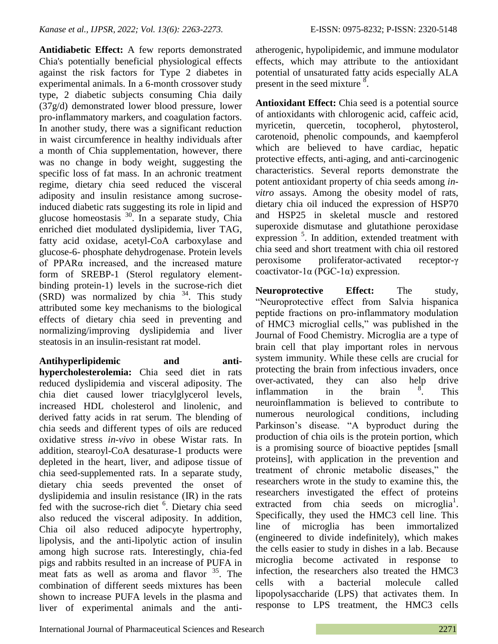**Antidiabetic Effect:** A few reports demonstrated Chia's potentially beneficial physiological effects against the risk factors for Type 2 diabetes in experimental animals. In a 6-month crossover study type, 2 diabetic subjects consuming Chia daily (37g/d) demonstrated lower blood pressure, lower pro-inflammatory markers, and coagulation factors. In another study, there was a significant reduction in waist circumference in healthy individuals after a month of Chia supplementation, however, there was no change in body weight, suggesting the specific loss of fat mass. In an achronic treatment regime, dietary chia seed reduced the visceral adiposity and insulin resistance among sucroseinduced diabetic rats suggesting its role in lipid and glucose homeostasis  $30$ . In a separate study, Chia enriched diet modulated dyslipidemia, liver TAG, fatty acid oxidase, acetyl-CoA carboxylase and glucose-6- phosphate dehydrogenase. Protein levels of PPARα increased, and the increased mature form of SREBP-1 (Sterol regulatory elementbinding protein-1) levels in the sucrose-rich diet  $(SRD)$  was normalized by chia  $34$ . This study attributed some key mechanisms to the biological effects of dietary chia seed in preventing and normalizing/improving dyslipidemia and liver steatosis in an insulin-resistant rat model.

**Antihyperlipidemic and antihypercholesterolemia:** Chia seed diet in rats reduced dyslipidemia and visceral adiposity. The chia diet caused lower triacylglycerol levels, increased HDL cholesterol and linolenic, and derived fatty acids in rat serum. The blending of chia seeds and different types of oils are reduced oxidative stress *in-vivo* in obese Wistar rats. In addition, stearoyl-CoA desaturase-1 products were depleted in the heart, liver, and adipose tissue of chia seed-supplemented rats. In a separate study, dietary chia seeds prevented the onset of dyslipidemia and insulin resistance (IR) in the rats fed with the sucrose-rich diet <sup>6</sup>. Dietary chia seed also reduced the visceral adiposity. In addition, Chia oil also reduced adipocyte hypertrophy, lipolysis, and the anti-lipolytic action of insulin among high sucrose rats. Interestingly, chia-fed pigs and rabbits resulted in an increase of PUFA in meat fats as well as aroma and flavor <sup>35</sup>. The combination of different seeds mixtures has been shown to increase PUFA levels in the plasma and liver of experimental animals and the antiatherogenic, hypolipidemic, and immune modulator effects, which may attribute to the antioxidant potential of unsaturated fatty acids especially ALA present in the seed mixture  $\frac{8}{3}$ .

**Antioxidant Effect:** Chia seed is a potential source of antioxidants with chlorogenic acid, caffeic acid, myricetin, quercetin, tocopherol, phytosterol, carotenoid, phenolic compounds, and kaempferol which are believed to have cardiac, hepatic protective effects, anti-aging, and anti-carcinogenic characteristics. Several reports demonstrate the potent antioxidant property of chia seeds among *invitro* assays. Among the obesity model of rats, dietary chia oil induced the expression of HSP70 and HSP25 in skeletal muscle and restored superoxide dismutase and glutathione peroxidase expression <sup>5</sup>. In addition, extended treatment with chia seed and short treatment with chia oil restored peroxisome proliferator-activated receptor-γ coactivator-1α (PGC-1α) expression.

**Neuroprotective Effect:** The study, "Neuroprotective effect from Salvia hispanica peptide fractions on pro‐inflammatory modulation of HMC3 microglial cells," was published in the Journal of Food Chemistry. Microglia are a type of brain cell that play important roles in nervous system immunity. While these cells are crucial for protecting the brain from infectious invaders, once over-activated, they can also help drive inflammation in the brain . This neuroinflammation is believed to contribute to numerous neurological conditions, including Parkinson"s disease. "A byproduct during the production of chia oils is the protein portion, which is a promising source of bioactive peptides [small proteins], with application in the prevention and treatment of chronic metabolic diseases," the researchers wrote in the study to examine this, the researchers investigated the effect of proteins extracted from chia seeds on microglia<sup>1</sup>. Specifically, they used the HMC3 cell line. This line of microglia has been immortalized (engineered to divide indefinitely), which makes the cells easier to study in dishes in a lab. Because microglia become activated in response to infection, the researchers also treated the HMC3 cells with a bacterial molecule called lipopolysaccharide (LPS) that activates them. In response to LPS treatment, the HMC3 cells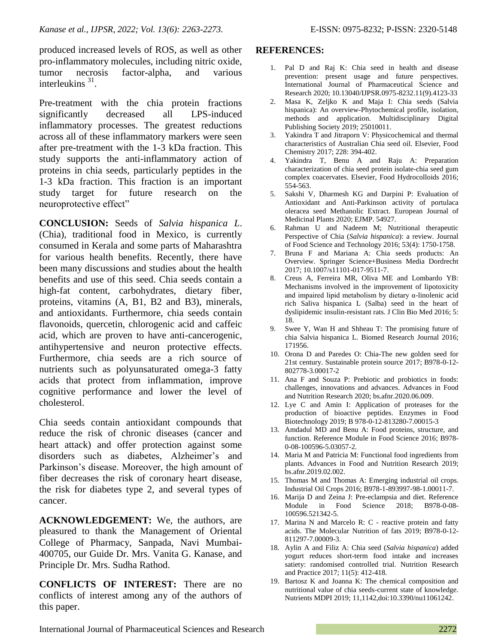produced increased levels of ROS, as well as other pro-inflammatory molecules, including nitric oxide, tumor necrosis factor-alpha, and various interleukins  $31$ .

Pre-treatment with the chia protein fractions significantly decreased all LPS-induced inflammatory processes. The greatest reductions across all of these inflammatory markers were seen after pre-treatment with the 1-3 kDa fraction. This study supports the anti-inflammatory action of proteins in chia seeds, particularly peptides in the 1-3 kDa fraction. This fraction is an important study target for future research on the neuroprotective effect"

**CONCLUSION:** Seeds of *Salvia hispanica L*. (Chia), traditional food in Mexico, is currently consumed in Kerala and some parts of Maharashtra for various health benefits. Recently, there have been many discussions and studies about the health benefits and use of this seed. Chia seeds contain a high-fat content, carbohydrates, dietary fiber, proteins, vitamins (A, B1, B2 and B3), minerals, and antioxidants. Furthermore, chia seeds contain flavonoids, quercetin, chlorogenic acid and caffeic acid, which are proven to have anti-cancerogenic, antihypertensive and neuron protective effects. Furthermore, chia seeds are a rich source of nutrients such as polyunsaturated omega-3 fatty acids that protect from inflammation, improve cognitive performance and lower the level of cholesterol.

Chia seeds contain antioxidant compounds that reduce the risk of chronic diseases (cancer and heart attack) and offer protection against some disorders such as diabetes, Alzheimer"s and Parkinson"s disease. Moreover, the high amount of fiber decreases the risk of coronary heart disease, the risk for diabetes type 2, and several types of cancer.

**ACKNOWLEDGEMENT:** We, the authors, are pleasured to thank the Management of Oriental College of Pharmacy, Sanpada, Navi Mumbai-400705, our Guide Dr. Mrs. Vanita G. Kanase, and Principle Dr. Mrs. Sudha Rathod.

**CONFLICTS OF INTEREST:** There are no conflicts of interest among any of the authors of this paper.

### **REFERENCES:**

- 1. Pal D and Raj K: Chia seed in health and disease prevention: present usage and future perspectives. International Journal of Pharmaceutical Science and Research 2020; 10.13040/IJPSR.0975-8232.11(9).4123-33
- 2. Masa K, Zeljko K and Maja I: Chia seeds (Salvia hispanica): An overview-Phytochemical profile, isolation, methods and application. Multidisciplinary Digital Publishing Society 2019; 25010011.
- 3. Yakindra T and Jitraporn V: Physicochemical and thermal characteristics of Australian Chia seed oil. Elsevier, Food Chemistry 2017; 228: 394-402.
- 4. Yakindra T, Benu A and Raju A: Preparation characterization of chia seed protein isolate-chia seed gum complex coacervates. Elsevier, Food Hydrocolloids 2016; 554-563.
- 5. Sakshi V, Dharmesh KG and Darpini P: Evaluation of Antioxidant and Anti-Parkinson activity of portulaca oleracea seed Methanolic Extract. European Journal of Medicinal Plants 2020; EJMP. 54927.
- 6. Rahman U and Nadeem M; Nutritional therapeutic Perspective of Chia (*Salvia hispanica*): a review. Journal of Food Science and Technology 2016; 53(4): 1750-1758.
- 7. Bruna F and Mariana A: Chia seeds products: An Overview. Springer Science+Business Media Dordrecht 2017; 10.1007/s11101-017-9511-7.
- 8. Creus A, Ferreira MR, Oliva ME and Lombardo YB: Mechanisms involved in the improvement of lipotoxicity and impaired lipid metabolism by dietary α-linolenic acid rich Saliva hispanica L (Salba) seed in the heart of dyslipidemic insulin-resistant rats. J Clin Bio Med 2016; 5: 18.
- 9. Swee Y, Wan H and Shheau T: The promising future of chia Salvia hispanica L. Biomed Research Journal 2016; 171956.
- 10. Orona D and Paredes O: Chia-The new golden seed for 21st century. Sustainable protein source 2017; B978-0-12- 802778-3.00017-2
- 11. Ana F and Souza P: Prebiotic and probiotics in foods: challenges, innovations and advances. Advances in Food and Nutrition Research 2020; bs.afnr.2020.06.009.
- 12. Lye C and Amin I: Application of proteases for the production of bioactive peptides. Enzymes in Food Biotechnology 2019; B 978-0-12-813280-7.00015-3
- 13. Amdadul MD and Benu A: Food proteins, structure, and function. Reference Module in Food Science 2016; B978- 0-08-100596-5.03057-2.
- 14. Maria M and Patricia M: Functional food ingredients from plants. Advances in Food and Nutrition Research 2019; bs.afnr.2019.02.002.
- 15. Thomas M and Thomas A: Emerging industrial oil crops. Industrial Oil Crops 2016; B978-1-893997-98-1.00011-7.
- 16. Marija D and Zeina J: Pre-eclampsia and diet. Reference Module in Food Science 2018; B978-0-08- 100596.521342-5.
- 17. Marina N and Marcelo R: C reactive protein and fatty acids. The Molecular Nutrition of fats 2019; B978-0-12- 811297-7.00009-3.
- 18. Aylin A and Filiz A: Chia seed (*Salvia hispanica*) added yogurt reduces short-term food intake and increases satiety: randomised controlled trial. Nutrition Research and Practice 2017; 11(5): 412-418.
- 19. Bartosz K and Joanna K: The chemical composition and nutritional value of chia seeds-current state of knowledge. Nutrients MDPI 2019; 11,1142,doi:10.3390/nu11061242.